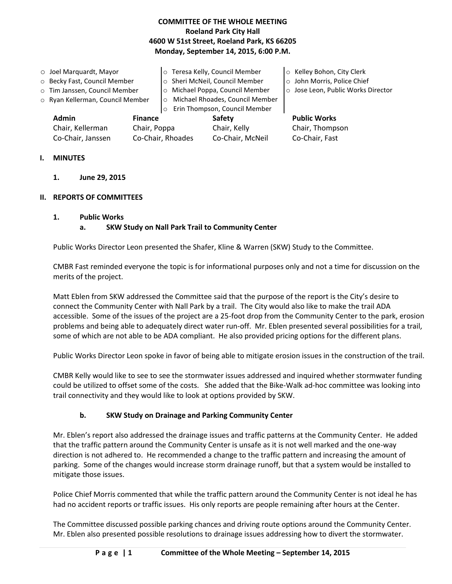## **COMMITTEE OF THE WHOLE MEETING Roeland Park City Hall 4600 W 51st Street, Roeland Park, KS 66205 Monday, September 14, 2015, 6:00 P.M.**

o Joel Marquardt, Mayor o Becky Fast, Council Member o Tim Janssen, Council Member o Ryan Kellerman, Council Member o Teresa Kelly, Council Member o Sheri McNeil, Council Member o Michael Poppa, Council Member o Michael Rhoades, Council Member o Erin Thompson, Council Member o Kelley Bohon, City Clerk o John Morris, Police Chief o Jose Leon, Public Works Director **Admin Finance Safety Public Works**

Chair, Kellerman Chair, Poppa Chair, Kelly Chair, Thompson Co-Chair, Janssen Co-Chair, Rhoades Co-Chair, McNeil Co-Chair, Fast

## **I. MINUTES**

**1. June 29, 2015**

## **II. REPORTS OF COMMITTEES**

## **1. Public Works**

## **a. SKW Study on Nall Park Trail to Community Center**

Public Works Director Leon presented the Shafer, Kline & Warren (SKW) Study to the Committee.

CMBR Fast reminded everyone the topic is for informational purposes only and not a time for discussion on the merits of the project.

Matt Eblen from SKW addressed the Committee said that the purpose of the report is the City's desire to connect the Community Center with Nall Park by a trail. The City would also like to make the trail ADA accessible. Some of the issues of the project are a 25-foot drop from the Community Center to the park, erosion problems and being able to adequately direct water run-off. Mr. Eblen presented several possibilities for a trail, some of which are not able to be ADA compliant. He also provided pricing options for the different plans.

Public Works Director Leon spoke in favor of being able to mitigate erosion issues in the construction of the trail.

CMBR Kelly would like to see to see the stormwater issues addressed and inquired whether stormwater funding could be utilized to offset some of the costs. She added that the Bike-Walk ad-hoc committee was looking into trail connectivity and they would like to look at options provided by SKW.

# **b. SKW Study on Drainage and Parking Community Center**

Mr. Eblen's report also addressed the drainage issues and traffic patterns at the Community Center. He added that the traffic pattern around the Community Center is unsafe as it is not well marked and the one-way direction is not adhered to. He recommended a change to the traffic pattern and increasing the amount of parking. Some of the changes would increase storm drainage runoff, but that a system would be installed to mitigate those issues.

Police Chief Morris commented that while the traffic pattern around the Community Center is not ideal he has had no accident reports or traffic issues. His only reports are people remaining after hours at the Center.

The Committee discussed possible parking chances and driving route options around the Community Center. Mr. Eblen also presented possible resolutions to drainage issues addressing how to divert the stormwater.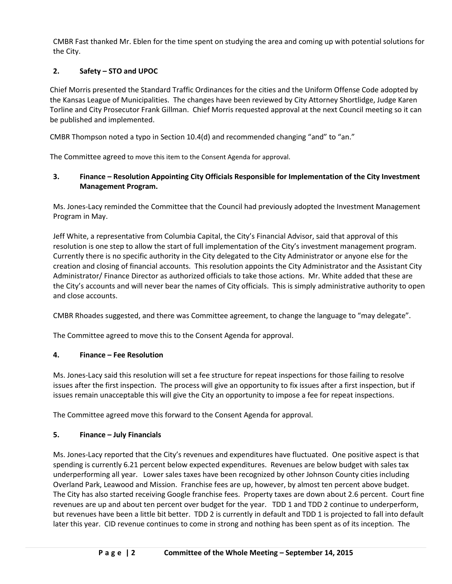CMBR Fast thanked Mr. Eblen for the time spent on studying the area and coming up with potential solutions for the City.

## **2. Safety – STO and UPOC**

Chief Morris presented the Standard Traffic Ordinances for the cities and the Uniform Offense Code adopted by the Kansas League of Municipalities. The changes have been reviewed by City Attorney Shortlidge, Judge Karen Torline and City Prosecutor Frank Gillman. Chief Morris requested approval at the next Council meeting so it can be published and implemented.

CMBR Thompson noted a typo in Section 10.4(d) and recommended changing "and" to "an."

The Committee agreed to move this item to the Consent Agenda for approval.

## **3. Finance – Resolution Appointing City Officials Responsible for Implementation of the City Investment Management Program.**

Ms. Jones-Lacy reminded the Committee that the Council had previously adopted the Investment Management Program in May.

Jeff White, a representative from Columbia Capital, the City's Financial Advisor, said that approval of this resolution is one step to allow the start of full implementation of the City's investment management program. Currently there is no specific authority in the City delegated to the City Administrator or anyone else for the creation and closing of financial accounts. This resolution appoints the City Administrator and the Assistant City Administrator/ Finance Director as authorized officials to take those actions. Mr. White added that these are the City's accounts and will never bear the names of City officials. This is simply administrative authority to open and close accounts.

CMBR Rhoades suggested, and there was Committee agreement, to change the language to "may delegate".

The Committee agreed to move this to the Consent Agenda for approval.

## **4. Finance – Fee Resolution**

Ms. Jones-Lacy said this resolution will set a fee structure for repeat inspections for those failing to resolve issues after the first inspection. The process will give an opportunity to fix issues after a first inspection, but if issues remain unacceptable this will give the City an opportunity to impose a fee for repeat inspections.

The Committee agreed move this forward to the Consent Agenda for approval.

## **5. Finance – July Financials**

Ms. Jones-Lacy reported that the City's revenues and expenditures have fluctuated. One positive aspect is that spending is currently 6.21 percent below expected expenditures. Revenues are below budget with sales tax underperforming all year. Lower sales taxes have been recognized by other Johnson County cities including Overland Park, Leawood and Mission. Franchise fees are up, however, by almost ten percent above budget. The City has also started receiving Google franchise fees. Property taxes are down about 2.6 percent. Court fine revenues are up and about ten percent over budget for the year. TDD 1 and TDD 2 continue to underperform, but revenues have been a little bit better. TDD 2 is currently in default and TDD 1 is projected to fall into default later this year. CID revenue continues to come in strong and nothing has been spent as of its inception. The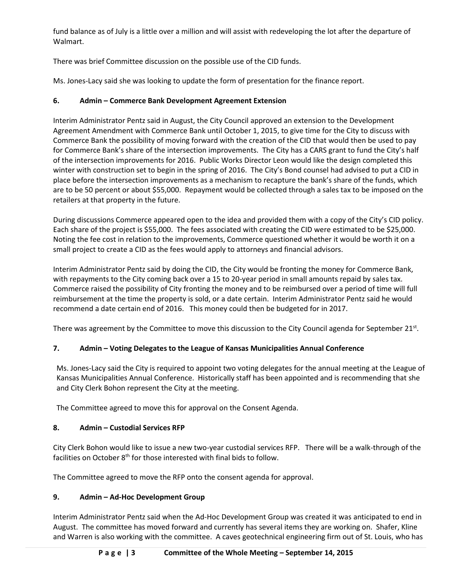fund balance as of July is a little over a million and will assist with redeveloping the lot after the departure of Walmart.

There was brief Committee discussion on the possible use of the CID funds.

Ms. Jones-Lacy said she was looking to update the form of presentation for the finance report.

# **6. Admin – Commerce Bank Development Agreement Extension**

Interim Administrator Pentz said in August, the City Council approved an extension to the Development Agreement Amendment with Commerce Bank until October 1, 2015, to give time for the City to discuss with Commerce Bank the possibility of moving forward with the creation of the CID that would then be used to pay for Commerce Bank's share of the intersection improvements. The City has a CARS grant to fund the City's half of the intersection improvements for 2016. Public Works Director Leon would like the design completed this winter with construction set to begin in the spring of 2016. The City's Bond counsel had advised to put a CID in place before the intersection improvements as a mechanism to recapture the bank's share of the funds, which are to be 50 percent or about \$55,000. Repayment would be collected through a sales tax to be imposed on the retailers at that property in the future.

During discussions Commerce appeared open to the idea and provided them with a copy of the City's CID policy. Each share of the project is \$55,000. The fees associated with creating the CID were estimated to be \$25,000. Noting the fee cost in relation to the improvements, Commerce questioned whether it would be worth it on a small project to create a CID as the fees would apply to attorneys and financial advisors.

Interim Administrator Pentz said by doing the CID, the City would be fronting the money for Commerce Bank, with repayments to the City coming back over a 15 to 20-year period in small amounts repaid by sales tax. Commerce raised the possibility of City fronting the money and to be reimbursed over a period of time will full reimbursement at the time the property is sold, or a date certain. Interim Administrator Pentz said he would recommend a date certain end of 2016. This money could then be budgeted for in 2017.

There was agreement by the Committee to move this discussion to the City Council agenda for September 21<sup>st</sup>.

# **7. Admin – Voting Delegates to the League of Kansas Municipalities Annual Conference**

Ms. Jones-Lacy said the City is required to appoint two voting delegates for the annual meeting at the League of Kansas Municipalities Annual Conference. Historically staff has been appointed and is recommending that she and City Clerk Bohon represent the City at the meeting.

The Committee agreed to move this for approval on the Consent Agenda.

# **8. Admin – Custodial Services RFP**

City Clerk Bohon would like to issue a new two-year custodial services RFP. There will be a walk-through of the facilities on October  $8<sup>th</sup>$  for those interested with final bids to follow.

The Committee agreed to move the RFP onto the consent agenda for approval.

# **9. Admin – Ad-Hoc Development Group**

Interim Administrator Pentz said when the Ad-Hoc Development Group was created it was anticipated to end in August. The committee has moved forward and currently has several items they are working on. Shafer, Kline and Warren is also working with the committee. A caves geotechnical engineering firm out of St. Louis, who has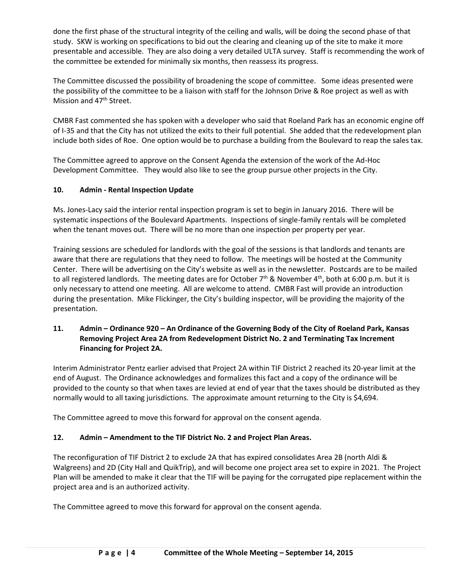done the first phase of the structural integrity of the ceiling and walls, will be doing the second phase of that study. SKW is working on specifications to bid out the clearing and cleaning up of the site to make it more presentable and accessible. They are also doing a very detailed ULTA survey. Staff is recommending the work of the committee be extended for minimally six months, then reassess its progress.

The Committee discussed the possibility of broadening the scope of committee. Some ideas presented were the possibility of the committee to be a liaison with staff for the Johnson Drive & Roe project as well as with Mission and 47<sup>th</sup> Street.

CMBR Fast commented she has spoken with a developer who said that Roeland Park has an economic engine off of I-35 and that the City has not utilized the exits to their full potential. She added that the redevelopment plan include both sides of Roe. One option would be to purchase a building from the Boulevard to reap the sales tax.

The Committee agreed to approve on the Consent Agenda the extension of the work of the Ad-Hoc Development Committee. They would also like to see the group pursue other projects in the City.

## **10. Admin - Rental Inspection Update**

Ms. Jones-Lacy said the interior rental inspection program is set to begin in January 2016. There will be systematic inspections of the Boulevard Apartments. Inspections of single-family rentals will be completed when the tenant moves out. There will be no more than one inspection per property per year.

Training sessions are scheduled for landlords with the goal of the sessions is that landlords and tenants are aware that there are regulations that they need to follow. The meetings will be hosted at the Community Center. There will be advertising on the City's website as well as in the newsletter. Postcards are to be mailed to all registered landlords. The meeting dates are for October 7<sup>th</sup> & November 4<sup>th</sup>, both at 6:00 p.m. but it is only necessary to attend one meeting. All are welcome to attend. CMBR Fast will provide an introduction during the presentation. Mike Flickinger, the City's building inspector, will be providing the majority of the presentation.

## **11. Admin – Ordinance 920 – An Ordinance of the Governing Body of the City of Roeland Park, Kansas Removing Project Area 2A from Redevelopment District No. 2 and Terminating Tax Increment Financing for Project 2A.**

Interim Administrator Pentz earlier advised that Project 2A within TIF District 2 reached its 20-year limit at the end of August. The Ordinance acknowledges and formalizes this fact and a copy of the ordinance will be provided to the county so that when taxes are levied at end of year that the taxes should be distributed as they normally would to all taxing jurisdictions. The approximate amount returning to the City is \$4,694.

The Committee agreed to move this forward for approval on the consent agenda.

## **12. Admin – Amendment to the TIF District No. 2 and Project Plan Areas.**

The reconfiguration of TIF District 2 to exclude 2A that has expired consolidates Area 2B (north Aldi & Walgreens) and 2D (City Hall and QuikTrip), and will become one project area set to expire in 2021. The Project Plan will be amended to make it clear that the TIF will be paying for the corrugated pipe replacement within the project area and is an authorized activity.

The Committee agreed to move this forward for approval on the consent agenda.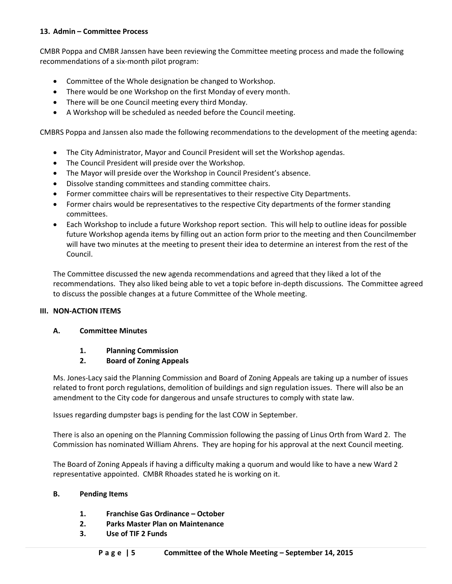#### **13. Admin – Committee Process**

CMBR Poppa and CMBR Janssen have been reviewing the Committee meeting process and made the following recommendations of a six-month pilot program:

- Committee of the Whole designation be changed to Workshop.
- There would be one Workshop on the first Monday of every month.
- There will be one Council meeting every third Monday.
- A Workshop will be scheduled as needed before the Council meeting.

CMBRS Poppa and Janssen also made the following recommendations to the development of the meeting agenda:

- The City Administrator, Mayor and Council President will set the Workshop agendas.
- The Council President will preside over the Workshop.
- The Mayor will preside over the Workshop in Council President's absence.
- Dissolve standing committees and standing committee chairs.
- Former committee chairs will be representatives to their respective City Departments.
- Former chairs would be representatives to the respective City departments of the former standing committees.
- Each Workshop to include a future Workshop report section. This will help to outline ideas for possible future Workshop agenda items by filling out an action form prior to the meeting and then Councilmember will have two minutes at the meeting to present their idea to determine an interest from the rest of the Council.

The Committee discussed the new agenda recommendations and agreed that they liked a lot of the recommendations. They also liked being able to vet a topic before in-depth discussions. The Committee agreed to discuss the possible changes at a future Committee of the Whole meeting.

#### **III. NON-ACTION ITEMS**

#### **A. Committee Minutes**

**1. Planning Commission**

#### **2. Board of Zoning Appeals**

Ms. Jones-Lacy said the Planning Commission and Board of Zoning Appeals are taking up a number of issues related to front porch regulations, demolition of buildings and sign regulation issues. There will also be an amendment to the City code for dangerous and unsafe structures to comply with state law.

Issues regarding dumpster bags is pending for the last COW in September.

There is also an opening on the Planning Commission following the passing of Linus Orth from Ward 2. The Commission has nominated William Ahrens. They are hoping for his approval at the next Council meeting.

The Board of Zoning Appeals if having a difficulty making a quorum and would like to have a new Ward 2 representative appointed. CMBR Rhoades stated he is working on it.

#### **B. Pending Items**

- **1. Franchise Gas Ordinance – October**
- **2. Parks Master Plan on Maintenance**
- **3. Use of TIF 2 Funds**